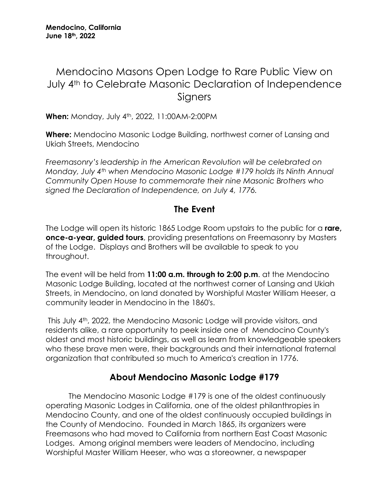## Mendocino Masons Open Lodge to Rare Public View on July 4th to Celebrate Masonic Declaration of Independence **Signers**

**When:** Monday, July 4th, 2022, 11:00AM-2:00PM

**Where:** Mendocino Masonic Lodge Building, northwest corner of Lansing and Ukiah Streets, Mendocino

*Freemasonry's leadership in the American Revolution will be celebrated on Monday, July 4th when Mendocino Masonic Lodge #179 holds its Ninth Annual Community Open House to commemorate their nine Masonic Brothers who signed the Declaration of Independence, on July 4, 1776.*

## **The Event**

The Lodge will open its historic 1865 Lodge Room upstairs to the public for a **rare, once-a-year, guided tours**, providing presentations on Freemasonry by Masters of the Lodge. Displays and Brothers will be available to speak to you throughout.

The event will be held from **11:00 a.m. through to 2:00 p.m**. at the Mendocino Masonic Lodge Building, located at the northwest corner of Lansing and Ukiah Streets, in Mendocino, on land donated by Worshipful Master William Heeser, a community leader in Mendocino in the 1860's.

This July 4th, 2022, the Mendocino Masonic Lodge will provide visitors, and residents alike, a rare opportunity to peek inside one of Mendocino County's oldest and most historic buildings, as well as learn from knowledgeable speakers who these brave men were, their backgrounds and their international fraternal organization that contributed so much to America's creation in 1776.

## **About Mendocino Masonic Lodge #179**

The Mendocino Masonic Lodge #179 is one of the oldest continuously operating Masonic Lodges in California, one of the oldest philanthropies in Mendocino County, and one of the oldest continuously occupied buildings in the County of Mendocino. Founded in March 1865, its organizers were Freemasons who had moved to California from northern East Coast Masonic Lodges. Among original members were leaders of Mendocino, including Worshipful Master William Heeser, who was a storeowner, a newspaper